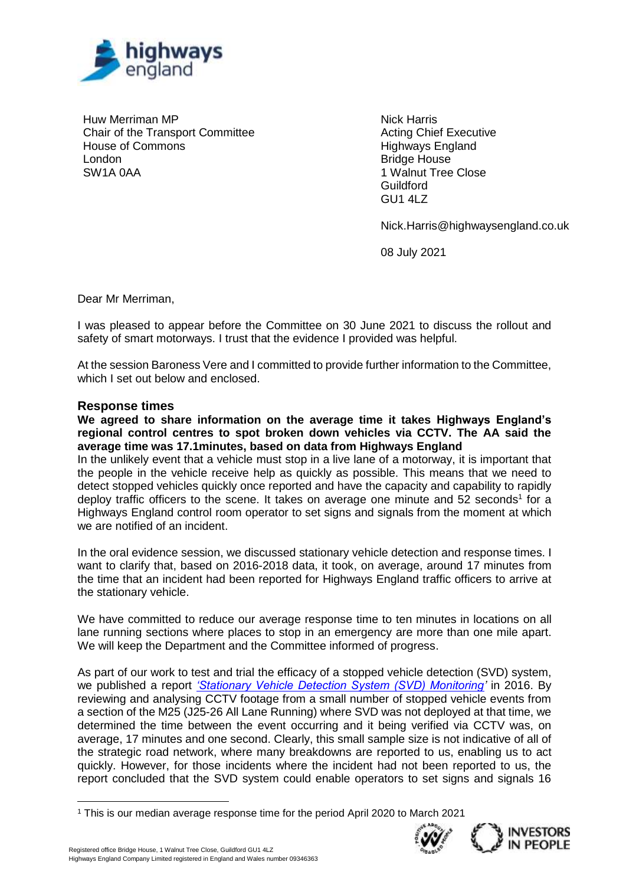

Huw Merriman MP Chair of the Transport Committee House of Commons London SW1A 0AA

Nick Harris Acting Chief Executive Highways England Bridge House 1 Walnut Tree Close **Guildford** GU1 4LZ

Nick.Harris@highwaysengland.co.uk

08 July 2021

Dear Mr Merriman,

I was pleased to appear before the Committee on 30 June 2021 to discuss the rollout and safety of smart motorways. I trust that the evidence I provided was helpful.

At the session Baroness Vere and I committed to provide further information to the Committee, which I set out below and enclosed.

## **Response times**

**We agreed to share information on the average time it takes Highways England's regional control centres to spot broken down vehicles via CCTV. The AA said the average time was 17.1minutes, based on data from Highways England**

In the unlikely event that a vehicle must stop in a live lane of a motorway, it is important that the people in the vehicle receive help as quickly as possible. This means that we need to detect stopped vehicles quickly once reported and have the capacity and capability to rapidly deploy traffic officers to the scene. It takes on average one minute and 52 seconds<sup>1</sup> for a Highways England control room operator to set signs and signals from the moment at which we are notified of an incident.

In the oral evidence session, we discussed stationary vehicle detection and response times. I want to clarify that, based on 2016-2018 data, it took, on average, around 17 minutes from the time that an incident had been reported for Highways England traffic officers to arrive at the stationary vehicle.

We have committed to reduce our average response time to ten minutes in locations on all lane running sections where places to stop in an emergency are more than one mile apart. We will keep the Department and the Committee informed of progress.

As part of our work to test and trial the efficacy of a stopped vehicle detection (SVD) system, we published a report *['Stationary Vehicle Detection System \(SVD\) Monitoring'](https://s3.eu-west-2.amazonaws.com/assets.highwaysengland.co.uk/Knowledge+Compendium/2016-17/Stationary+Vehicle+Detection+System+(SVD)+Monitoring.pdf)* in 2016. By reviewing and analysing CCTV footage from a small number of stopped vehicle events from a section of the M25 (J25-26 All Lane Running) where SVD was not deployed at that time, we determined the time between the event occurring and it being verified via CCTV was, on average, 17 minutes and one second. Clearly, this small sample size is not indicative of all of the strategic road network, where many breakdowns are reported to us, enabling us to act quickly. However, for those incidents where the incident had not been reported to us, the report concluded that the SVD system could enable operators to set signs and signals 16

<sup>1</sup> This is our median average response time for the period April 2020 to March 2021





 $\overline{a}$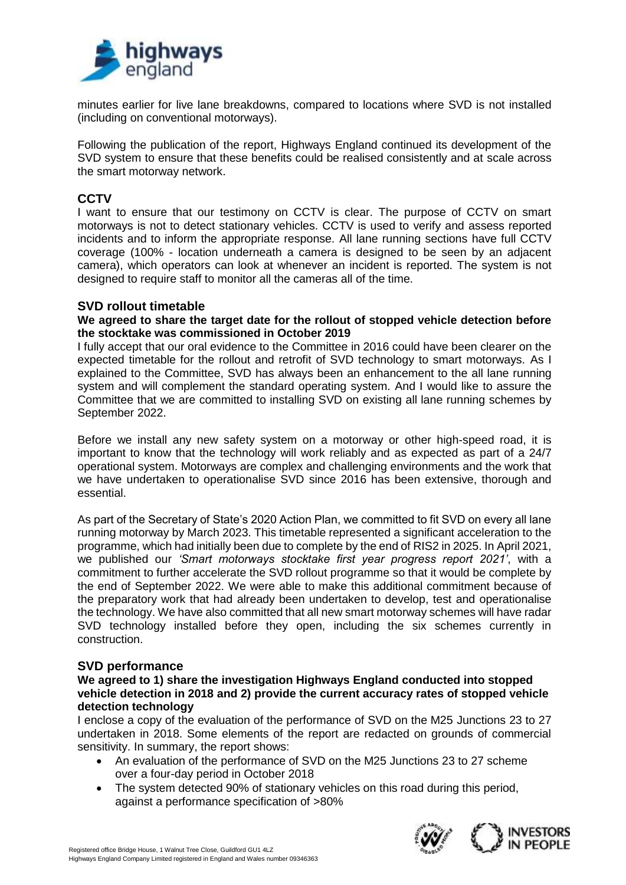

minutes earlier for live lane breakdowns, compared to locations where SVD is not installed (including on conventional motorways).

Following the publication of the report, Highways England continued its development of the SVD system to ensure that these benefits could be realised consistently and at scale across the smart motorway network.

# **CCTV**

I want to ensure that our testimony on CCTV is clear. The purpose of CCTV on smart motorways is not to detect stationary vehicles. CCTV is used to verify and assess reported incidents and to inform the appropriate response. All lane running sections have full CCTV coverage (100% - location underneath a camera is designed to be seen by an adjacent camera), which operators can look at whenever an incident is reported. The system is not designed to require staff to monitor all the cameras all of the time.

# **SVD rollout timetable**

**We agreed to share the target date for the rollout of stopped vehicle detection before the stocktake was commissioned in October 2019**

I fully accept that our oral evidence to the Committee in 2016 could have been clearer on the expected timetable for the rollout and retrofit of SVD technology to smart motorways. As I explained to the Committee, SVD has always been an enhancement to the all lane running system and will complement the standard operating system. And I would like to assure the Committee that we are committed to installing SVD on existing all lane running schemes by September 2022.

Before we install any new safety system on a motorway or other high-speed road, it is important to know that the technology will work reliably and as expected as part of a 24/7 operational system. Motorways are complex and challenging environments and the work that we have undertaken to operationalise SVD since 2016 has been extensive, thorough and essential.

As part of the Secretary of State's 2020 Action Plan, we committed to fit SVD on every all lane running motorway by March 2023. This timetable represented a significant acceleration to the programme, which had initially been due to complete by the end of RIS2 in 2025. In April 2021, we published our *'Smart motorways stocktake first year progress report 2021'*, with a commitment to further accelerate the SVD rollout programme so that it would be complete by the end of September 2022. We were able to make this additional commitment because of the preparatory work that had already been undertaken to develop, test and operationalise the technology. We have also committed that all new smart motorway schemes will have radar SVD technology installed before they open, including the six schemes currently in construction.

# **SVD performance**

## **We agreed to 1) share the investigation Highways England conducted into stopped vehicle detection in 2018 and 2) provide the current accuracy rates of stopped vehicle detection technology**

I enclose a copy of the evaluation of the performance of SVD on the M25 Junctions 23 to 27 undertaken in 2018. Some elements of the report are redacted on grounds of commercial sensitivity. In summary, the report shows:

- An evaluation of the performance of SVD on the M25 Junctions 23 to 27 scheme over a four-day period in October 2018
- The system detected 90% of stationary vehicles on this road during this period, against a performance specification of >80%

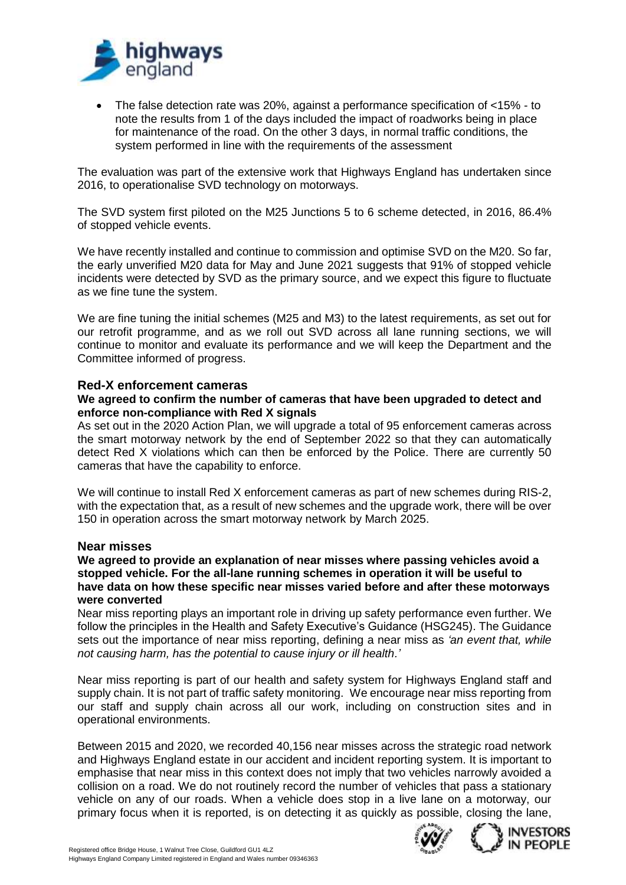

• The false detection rate was 20%, against a performance specification of <15% - to note the results from 1 of the days included the impact of roadworks being in place for maintenance of the road. On the other 3 days, in normal traffic conditions, the system performed in line with the requirements of the assessment

The evaluation was part of the extensive work that Highways England has undertaken since 2016, to operationalise SVD technology on motorways.

The SVD system first piloted on the M25 Junctions 5 to 6 scheme detected, in 2016, 86.4% of stopped vehicle events.

We have recently installed and continue to commission and optimise SVD on the M20. So far, the early unverified M20 data for May and June 2021 suggests that 91% of stopped vehicle incidents were detected by SVD as the primary source, and we expect this figure to fluctuate as we fine tune the system.

We are fine tuning the initial schemes (M25 and M3) to the latest requirements, as set out for our retrofit programme, and as we roll out SVD across all lane running sections, we will continue to monitor and evaluate its performance and we will keep the Department and the Committee informed of progress.

# **Red-X enforcement cameras**

## **We agreed to confirm the number of cameras that have been upgraded to detect and enforce non-compliance with Red X signals**

As set out in the 2020 Action Plan, we will upgrade a total of 95 enforcement cameras across the smart motorway network by the end of September 2022 so that they can automatically detect Red X violations which can then be enforced by the Police. There are currently 50 cameras that have the capability to enforce.

We will continue to install Red X enforcement cameras as part of new schemes during RIS-2, with the expectation that, as a result of new schemes and the upgrade work, there will be over 150 in operation across the smart motorway network by March 2025.

#### **Near misses**

## **We agreed to provide an explanation of near misses where passing vehicles avoid a stopped vehicle. For the all-lane running schemes in operation it will be useful to have data on how these specific near misses varied before and after these motorways were converted**

Near miss reporting plays an important role in driving up safety performance even further. We follow the principles in the Health and Safety Executive's Guidance (HSG245). The Guidance sets out the importance of near miss reporting, defining a near miss as *'an event that, while not causing harm, has the potential to cause injury or ill health.'*

Near miss reporting is part of our health and safety system for Highways England staff and supply chain. It is not part of traffic safety monitoring. We encourage near miss reporting from our staff and supply chain across all our work, including on construction sites and in operational environments.

Between 2015 and 2020, we recorded 40,156 near misses across the strategic road network and Highways England estate in our accident and incident reporting system. It is important to emphasise that near miss in this context does not imply that two vehicles narrowly avoided a collision on a road. We do not routinely record the number of vehicles that pass a stationary vehicle on any of our roads. When a vehicle does stop in a live lane on a motorway, our primary focus when it is reported, is on detecting it as quickly as possible, closing the lane,



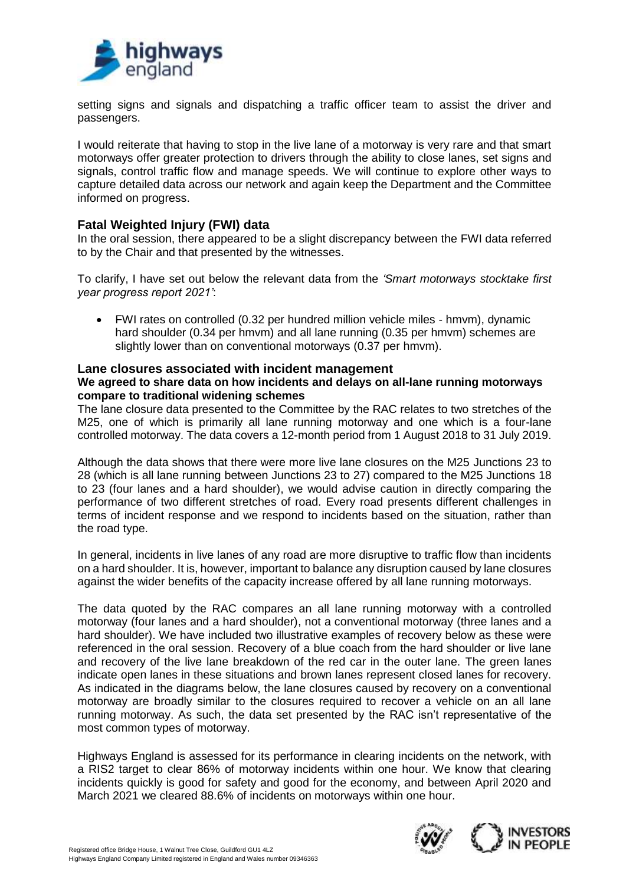

setting signs and signals and dispatching a traffic officer team to assist the driver and passengers.

I would reiterate that having to stop in the live lane of a motorway is very rare and that smart motorways offer greater protection to drivers through the ability to close lanes, set signs and signals, control traffic flow and manage speeds. We will continue to explore other ways to capture detailed data across our network and again keep the Department and the Committee informed on progress.

# **Fatal Weighted Injury (FWI) data**

In the oral session, there appeared to be a slight discrepancy between the FWI data referred to by the Chair and that presented by the witnesses.

To clarify, I have set out below the relevant data from the *'Smart motorways stocktake first year progress report 2021'*:

• FWI rates on controlled (0.32 per hundred million vehicle miles - hmvm), dynamic hard shoulder (0.34 per hmvm) and all lane running (0.35 per hmvm) schemes are slightly lower than on conventional motorways (0.37 per hmvm).

# **Lane closures associated with incident management**

## **We agreed to share data on how incidents and delays on all-lane running motorways compare to traditional widening schemes**

The lane closure data presented to the Committee by the RAC relates to two stretches of the M25, one of which is primarily all lane running motorway and one which is a four-lane controlled motorway. The data covers a 12-month period from 1 August 2018 to 31 July 2019.

Although the data shows that there were more live lane closures on the M25 Junctions 23 to 28 (which is all lane running between Junctions 23 to 27) compared to the M25 Junctions 18 to 23 (four lanes and a hard shoulder), we would advise caution in directly comparing the performance of two different stretches of road. Every road presents different challenges in terms of incident response and we respond to incidents based on the situation, rather than the road type.

In general, incidents in live lanes of any road are more disruptive to traffic flow than incidents on a hard shoulder. It is, however, important to balance any disruption caused by lane closures against the wider benefits of the capacity increase offered by all lane running motorways.

The data quoted by the RAC compares an all lane running motorway with a controlled motorway (four lanes and a hard shoulder), not a conventional motorway (three lanes and a hard shoulder). We have included two illustrative examples of recovery below as these were referenced in the oral session. Recovery of a blue coach from the hard shoulder or live lane and recovery of the live lane breakdown of the red car in the outer lane. The green lanes indicate open lanes in these situations and brown lanes represent closed lanes for recovery. As indicated in the diagrams below, the lane closures caused by recovery on a conventional motorway are broadly similar to the closures required to recover a vehicle on an all lane running motorway. As such, the data set presented by the RAC isn't representative of the most common types of motorway.

Highways England is assessed for its performance in clearing incidents on the network, with a RIS2 target to clear 86% of motorway incidents within one hour. We know that clearing incidents quickly is good for safety and good for the economy, and between April 2020 and March 2021 we cleared 88.6% of incidents on motorways within one hour.

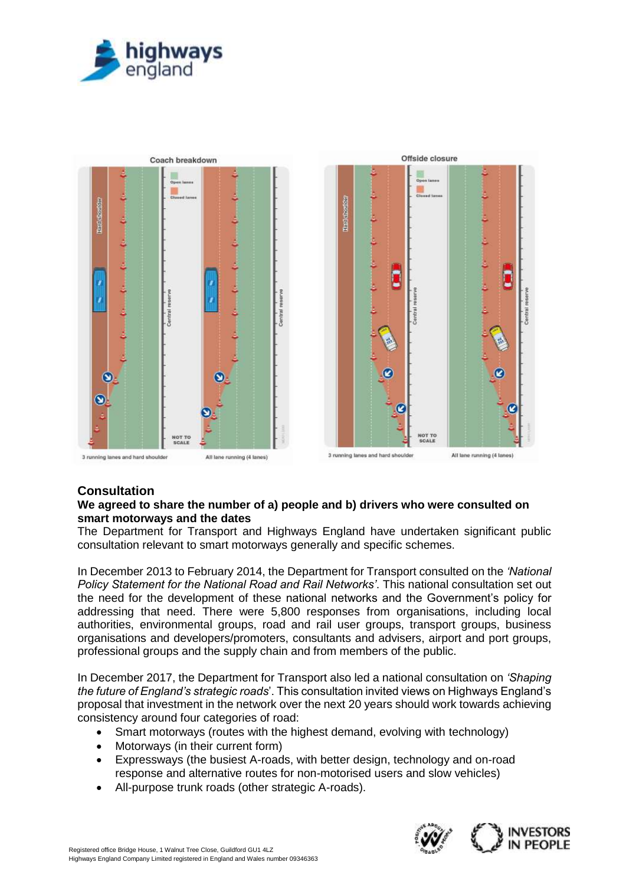



# **Consultation**

# **We agreed to share the number of a) people and b) drivers who were consulted on smart motorways and the dates**

The Department for Transport and Highways England have undertaken significant public consultation relevant to smart motorways generally and specific schemes.

In December 2013 to February 2014, the Department for Transport consulted on the *'National Policy Statement for the National Road and Rail Networks'*. This national consultation set out the need for the development of these national networks and the Government's policy for addressing that need. There were 5,800 responses from organisations, including local authorities, environmental groups, road and rail user groups, transport groups, business organisations and developers/promoters, consultants and advisers, airport and port groups, professional groups and the supply chain and from members of the public.

In December 2017, the Department for Transport also led a national consultation on *'Shaping the future of England's strategic roads*'. This consultation invited views on Highways England's proposal that investment in the network over the next 20 years should work towards achieving consistency around four categories of road:

- Smart motorways (routes with the highest demand, evolving with technology)
- Motorways (in their current form)
- Expressways (the busiest A-roads, with better design, technology and on-road response and alternative routes for non-motorised users and slow vehicles)
- All-purpose trunk roads (other strategic A-roads).